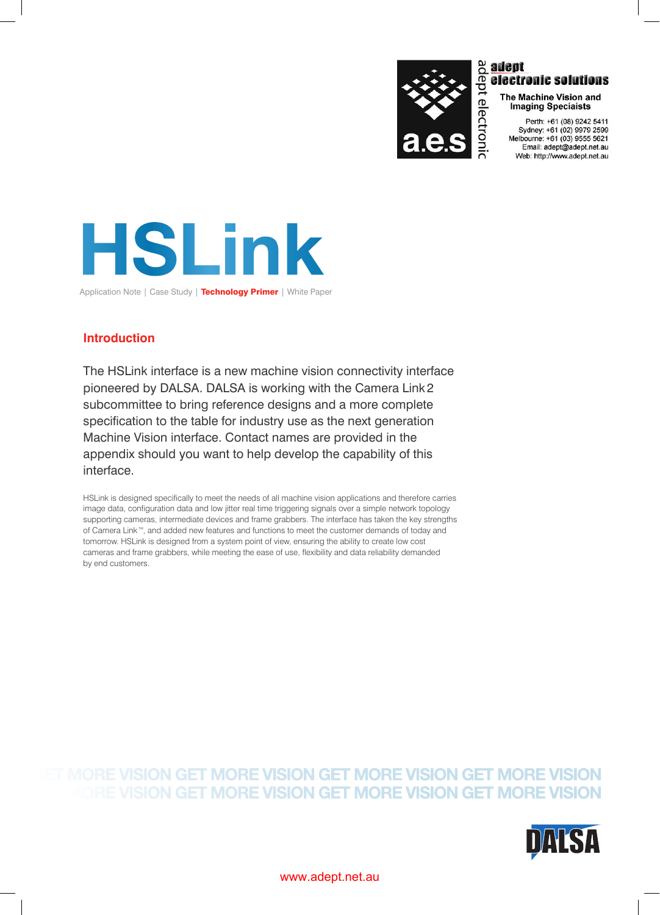

# $\frac{a}{b}$  adept<br>  $\frac{a}{c}$  bectrices<br>  $\frac{a}{b}$  clearly<br>  $\frac{a}{b}$  clearly<br>  $\frac{a}{b}$ <br>  $\frac{a}{b}$ <br>  $\frac{a}{b}$ <br>  $\frac{a}{b}$ <br>  $\frac{a}{b}$ electronic solutions

The Machine Vision and **Imaging Speciaists** 

Perth: +61 (08) 9242 5411 Sydney: +61 (02) 9979 2599<br>Melbourne: +61 (03) 9555 5621 Email: adept@adept.net.au Web: http://www.adept.net.au



Application Note | Case Study | Technology Primer | White Paper

# **Introduction**

The HSLink interface is a new machine vision connectivity interface pioneered by DALSA. DALSA is working with the Camera Link 2 subcommittee to bring reference designs and a more complete specification to the table for industry use as the next generation Machine Vision interface. Contact names are provided in the appendix should you want to help develop the capability of this interface.

HSLink is designed specifically to meet the needs of all machine vision applications and therefore carries image data, configuration data and low jitter real time triggering signals over a simple network topology supporting cameras, intermediate devices and frame grabbers. The interface has taken the key strengths of Camera Link™, and added new features and functions to meet the customer demands of today and tomorrow. HSLink is designed from a system point of view, ensuring the ability to create low cost cameras and frame grabbers, while meeting the ease of use, flexibility and data reliability demanded by end customers.

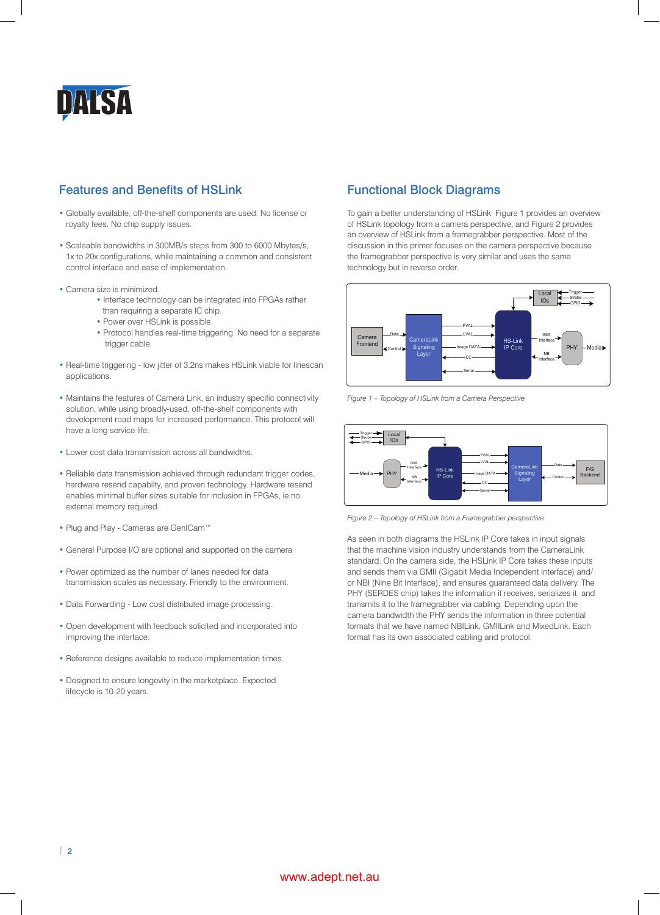

# Features and Benefits of HSLink

- Globally available, off-the-shelf components are used. No license or royalty fees. No chip supply issues.
- Scaleable bandwidths in 300MB/s steps from 300 to 6000 Mbytes/s, 1x to 20x configurations, while maintaining a common and consistent control interface and ease of implementation.
- Camera size is minimized.
	- Interface technology can be integrated into FPGAs rather
	- than requiring a separate IC chip.
	- Power over HSLink is possible.
	- Protocol handles real-time triggering. No need for a separate trigger cable.
- Real-time triggering low jitter of 3.2ns makes HSLink viable for linescan applications.
- Maintains the features of Camera Link, an industry specific connectivity solution, while using broadly-used, off-the-shelf components with development road maps for increased performance. This protocol will have a long service life.
- Lower cost data transmission across all bandwidths.
- Reliable data transmission achieved through redundant trigger codes, hardware resend capabilty, and proven technology. Hardware resend enables minimal buffer sizes suitable for inclusion in FPGAs, ie no external memory required.
- Plug and Play Cameras are GenICam™
- General Purpose I/O are optional and supported on the camera
- Power optimized as the number of lanes needed for data transmission scales as necessary. Friendly to the environment.
- Data Forwarding Low cost distributed image processing.
- Open development with feedback solicited and incorporated into improving the interface.
- Reference designs available to reduce implementation times.
- Designed to ensure longevity in the marketplace. Expected lifecycle is 10-20 years.

## Functional Block Diagrams

To gain a better understanding of HSLink, Figure 1 provides an overview of HSLink topology from a camera perspective, and Figure 2 provides an overview of HSLink from a framegrabber perspective. Most of the discussion in this primer focuses on the camera perspective because the framegrabber perspective is very similar and uses the same technology but in reverse order.



*Figure 1 – Topology of HSLink from a Camera Perspective*



*Figure 2 – Topology of HSLink from a Framegrabber perspective*

As seen in both diagrams the HSLink IP Core takes in input signals that the machine vision industry understands from the CameraLink standard. On the camera side, the HSLink IP Core takes these inputs and sends them via GMII (Gigabit Media Independent Interface) and/ or NBI (Nine Bit Interface), and ensures guaranteed data delivery. The PHY (SERDES chip) takes the information it receives, serializes it, and transmits it to the framegrabber via cabling. Depending upon the camera bandwidth the PHY sends the information in three potential formats that we have named NBILink, GMIILink and MixedLink. Each format has its own associated cabling and protocol.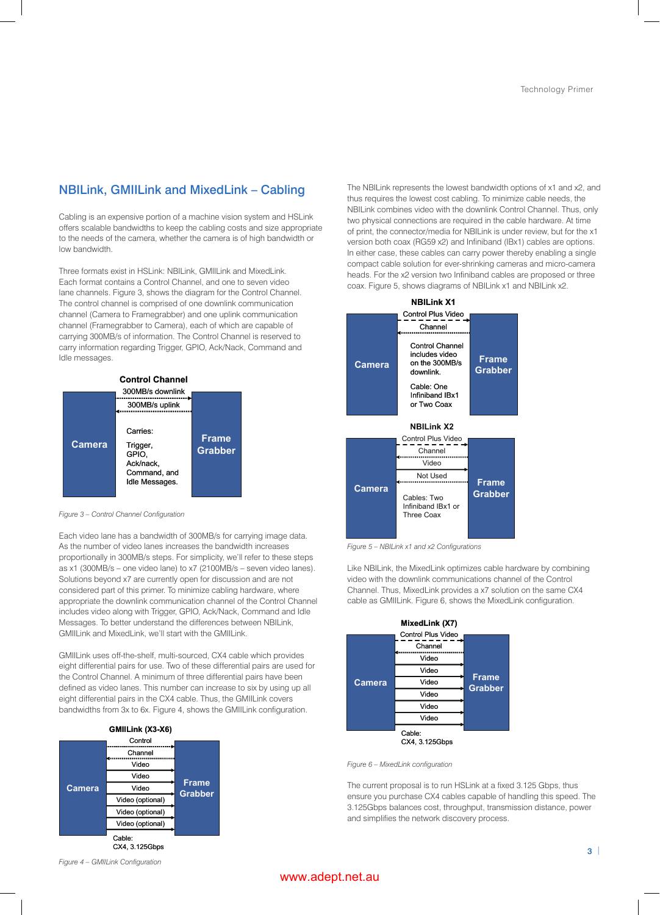# NBILink, GMIILink and MixedLink – Cabling

Cabling is an expensive portion of a machine vision system and HSLink offers scalable bandwidths to keep the cabling costs and size appropriate to the needs of the camera, whether the camera is of high bandwidth or low bandwidth.

Three formats exist in HSLink: NBILink, GMIILink and MixedLink. Each format contains a Control Channel, and one to seven video lane channels. Figure 3, shows the diagram for the Control Channel. The control channel is comprised of one downlink communication channel (Camera to Framegrabber) and one uplink communication channel (Framegrabber to Camera), each of which are capable of carrying 300MB/s of information. The Control Channel is reserved to carry information regarding Trigger, GPIO, Ack/Nack, Command and Idle messages.



*Figure 3 – Control Channel Configuration*

Each video lane has a bandwidth of 300MB/s for carrying image data. As the number of video lanes increases the bandwidth increases proportionally in 300MB/s steps. For simplicity, we'll refer to these steps as x1 (300MB/s – one video lane) to x7 (2100MB/s – seven video lanes). Solutions beyond x7 are currently open for discussion and are not considered part of this primer. To minimize cabling hardware, where appropriate the downlink communication channel of the Control Channel includes video along with Trigger, GPIO, Ack/Nack, Command and Idle Messages. To better understand the differences between NBILink, GMIILink and MixedLink, we'll start with the GMIILink.

GMIILink uses off-the-shelf, multi-sourced, CX4 cable which provides eight differential pairs for use. Two of these differential pairs are used for the Control Channel. A minimum of three differential pairs have been defined as video lanes. This number can increase to six by using up all eight differential pairs in the CX4 cable. Thus, the GMIILink covers bandwidths from 3x to 6x. Figure 4, shows the GMIILink configuration.



The NBILink represents the lowest bandwidth options of x1 and x2, and thus requires the lowest cost cabling. To minimize cable needs, the NBILink combines video with the downlink Control Channel. Thus, only two physical connections are required in the cable hardware. At time of print, the connector/media for NBILink is under review, but for the x1 version both coax (RG59 x2) and Infiniband (IBx1) cables are options. In either case, these cables can carry power thereby enabling a single compact cable solution for ever-shrinking cameras and micro-camera heads. For the x2 version two Infiniband cables are proposed or three coax. Figure 5, shows diagrams of NBILink x1 and NBILink x2.



*Figure 5 – NBILink x1 and x2 Configurations*

Like NBILink, the MixedLink optimizes cable hardware by combining video with the downlink communications channel of the Control Channel. Thus, MixedLink provides a x7 solution on the same CX4 cable as GMIILink. Figure 6, shows the MixedLink configuration.

| MixedLink (X7) |                          |                                |  |  |  |
|----------------|--------------------------|--------------------------------|--|--|--|
|                | Control Plus Video       |                                |  |  |  |
| <b>Camera</b>  | Channel                  |                                |  |  |  |
|                | Video                    |                                |  |  |  |
|                | Video                    |                                |  |  |  |
|                | Video                    | <b>Frame</b><br><b>Grabber</b> |  |  |  |
|                | Video                    |                                |  |  |  |
|                | Video                    |                                |  |  |  |
|                | Video                    |                                |  |  |  |
|                | Cable:<br>CX4. 3.125Gbps |                                |  |  |  |

*Figure 6 – MixedLink configuration*

The current proposal is to run HSLink at a fixed 3.125 Gbps, thus ensure you purchase CX4 cables capable of handling this speed. The 3.125Gbps balances cost, throughput, transmission distance, power and simplifies the network discovery process.

*Figure 4 – GMIILink Configuration*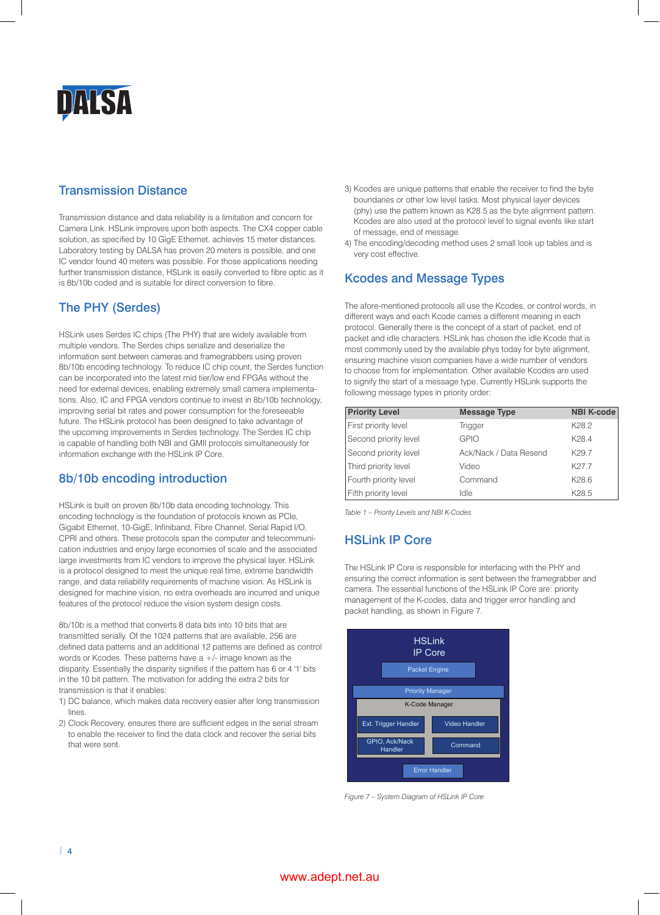

# Transmission Distance

Transmission distance and data reliability is a limitation and concern for Camera Link. HSLink improves upon both aspects. The CX4 copper cable solution, as specified by 10 GigE Ethernet, achieves 15 meter distances. Laboratory testing by DALSA has proven 20 meters is possible, and one IC vendor found 40 meters was possible. For those applications needing further transmission distance, HSLink is easily converted to fibre optic as it is 8b/10b coded and is suitable for direct conversion to fibre.

# The PHY (Serdes)

HSLink uses Serdes IC chips (The PHY) that are widely available from multiple vendors. The Serdes chips serialize and deserialize the information sent between cameras and framegrabbers using proven 8b/10b encoding technology. To reduce IC chip count, the Serdes function can be incorporated into the latest mid tier/low end FPGAs without the need for external devices, enabling extremely small camera implementations. Also, IC and FPGA vendors continue to invest in 8b/10b technology, improving serial bit rates and power consumption for the foreseeable future. The HSLink protocol has been designed to take advantage of the upcoming improvements in Serdes technology. The Serdes IC chip is capable of handling both NBI and GMII protocols simultaneously for information exchange with the HSLink IP Core.

## 8b/10b encoding introduction

HSLink is built on proven 8b/10b data encoding technology. This encoding technology is the foundation of protocols known as PCIe, Gigabit Ethernet, 10-GigE, Infiniband, Fibre Channel, Serial Rapid I/O, CPRI and others. These protocols span the computer and telecommunication industries and enjoy large economies of scale and the associated large investments from IC vendors to improve the physical layer. HSLink is a protocol designed to meet the unique real time, extreme bandwidth range, and data reliability requirements of machine vision. As HSLink is designed for machine vision, no extra overheads are incurred and unique features of the protocol reduce the vision system design costs.

8b/10b is a method that converts 8 data bits into 10 bits that are transmitted serially. Of the 1024 patterns that are available, 256 are defined data patterns and an additional 12 patterns are defined as control words or Kcodes. These patterns have  $a +$ /- image known as the disparity. Essentially the disparity signifies if the pattern has 6 or 4 '1' bits in the 10 bit pattern. The motivation for adding the extra 2 bits for transmission is that it enables:

- 1) DC balance, which makes data recovery easier after long transmission lines.
- 2) Clock Recovery, ensures there are sufficient edges in the serial stream to enable the receiver to find the data clock and recover the serial bits that were sent.
- 3) Kcodes are unique patterns that enable the receiver to find the byte boundaries or other low level tasks. Most physical layer devices (phy) use the pattern known as K28.5 as the byte alignment pattern. Kcodes are also used at the protocol level to signal events like start of message, end of message.
- 4) The encoding/decoding method uses 2 small look up tables and is very cost effective.

# Kcodes and Message Types

The afore-mentioned protocols all use the Kcodes, or control words, in different ways and each Kcode carries a different meaning in each protocol. Generally there is the concept of a start of packet, end of packet and idle characters. HSLink has chosen the idle Kcode that is most commonly used by the available phys today for byte alignment, ensuring machine vision companies have a wide number of vendors to choose from for implementation. Other available Kcodes are used to signify the start of a message type. Currently HSLink supports the following message types in priority order:

| <b>Priority Level</b> | <b>Message Type</b>    | <b>NBI K-code</b> |
|-----------------------|------------------------|-------------------|
| First priority level  | <b>Trigger</b>         | K <sub>28.2</sub> |
| Second priority level | <b>GPIO</b>            | K <sub>28.4</sub> |
| Second priority level | Ack/Nack / Data Resend | K <sub>29.7</sub> |
| Third priority level  | Video                  | K27.7             |
| Fourth priority level | Command                | K28.6             |
| Fifth priority level  | Idle                   | K28.5             |

*Table 1 – Priority Levels and NBI K-Codes*

# HSLink IP Core

The HSLink IP Core is responsible for interfacing with the PHY and ensuring the correct information is sent between the framegrabber and camera. The essential functions of the HSLink IP Core are: priority management of the K-codes, data and trigger error handling and packet handling, as shown in Figure 7.



*Figure 7 – System Diagram of HSLink IP Core*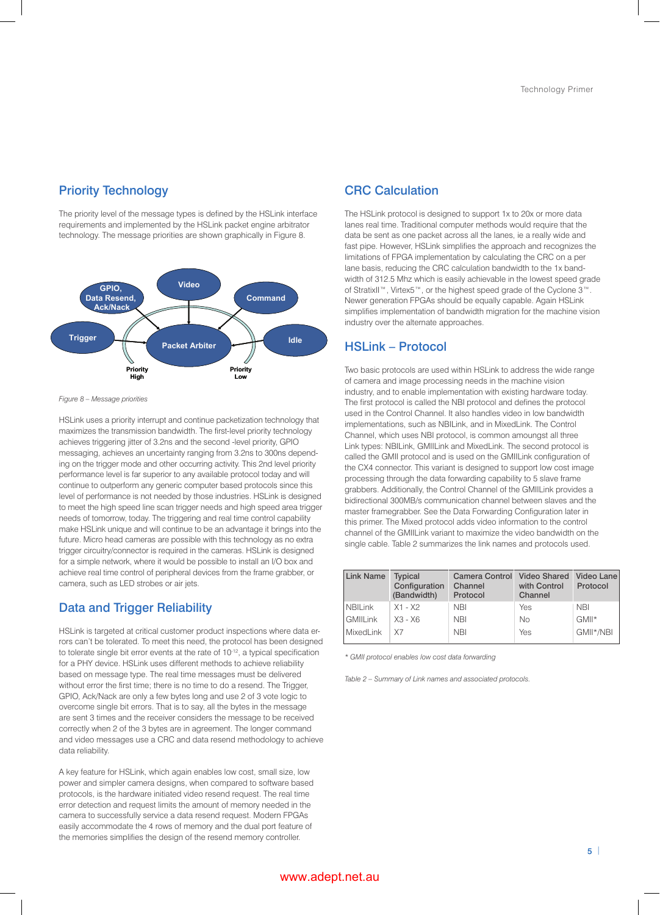## Priority Technology

The priority level of the message types is defined by the HSLink interface requirements and implemented by the HSLink packet engine arbitrator technology. The message priorities are shown graphically in Figure 8.



*Figure 8 – Message priorities*

HSLink uses a priority interrupt and continue packetization technology that maximizes the transmission bandwidth. The first-level priority technology achieves triggering jitter of 3.2ns and the second -level priority, GPIO messaging, achieves an uncertainty ranging from 3.2ns to 300ns depending on the trigger mode and other occurring activity. This 2nd level priority performance level is far superior to any available protocol today and will continue to outperform any generic computer based protocols since this level of performance is not needed by those industries. HSLink is designed to meet the high speed line scan trigger needs and high speed area trigger needs of tomorrow, today. The triggering and real time control capability make HSL ink unique and will continue to be an advantage it brings into the future. Micro head cameras are possible with this technology as no extra trigger circuitry/connector is required in the cameras. HSLink is designed for a simple network, where it would be possible to install an I/O box and achieve real time control of peripheral devices from the frame grabber, or camera, such as LED strobes or air jets.

#### Data and Trigger Reliability

HSLink is targeted at critical customer product inspections where data errors can't be tolerated. To meet this need, the protocol has been designed to tolerate single bit error events at the rate of 10<sup>-12</sup>, a typical specification for a PHY device. HSLink uses different methods to achieve reliability based on message type. The real time messages must be delivered without error the first time; there is no time to do a resend. The Trigger, GPIO, Ack/Nack are only a few bytes long and use 2 of 3 vote logic to overcome single bit errors. That is to say, all the bytes in the message are sent 3 times and the receiver considers the message to be received correctly when 2 of the 3 bytes are in agreement. The longer command and video messages use a CRC and data resend methodology to achieve data reliability.

A key feature for HSLink, which again enables low cost, small size, low power and simpler camera designs, when compared to software based protocols, is the hardware initiated video resend request. The real time error detection and request limits the amount of memory needed in the camera to successfully service a data resend request. Modern FPGAs easily accommodate the 4 rows of memory and the dual port feature of the memories simplifies the design of the resend memory controller.

# CRC Calculation

The HSLink protocol is designed to support 1x to 20x or more data lanes real time. Traditional computer methods would require that the data be sent as one packet across all the lanes, ie a really wide and fast pipe. However, HSLink simplifies the approach and recognizes the limitations of FPGA implementation by calculating the CRC on a per lane basis, reducing the CRC calculation bandwidth to the 1x bandwidth of 312.5 Mhz which is easily achievable in the lowest speed grade of StratixII™, Virtex5™, or the highest speed grade of the Cyclone 3™. Newer generation FPGAs should be equally capable. Again HSLink simplifies implementation of bandwidth migration for the machine vision industry over the alternate approaches.

#### HSLink – Protocol

Two basic protocols are used within HSLink to address the wide range of camera and image processing needs in the machine vision industry, and to enable implementation with existing hardware today. The first protocol is called the NBI protocol and defines the protocol used in the Control Channel. It also handles video in low bandwidth implementations, such as NBILink, and in MixedLink. The Control Channel, which uses NBI protocol, is common amoungst all three Link types: NBILink, GMIILink and MixedLink. The second protocol is called the GMII protocol and is used on the GMIILink configuration of the CX4 connector. This variant is designed to support low cost image processing through the data forwarding capability to 5 slave frame grabbers. Additionally, the Control Channel of the GMIILink provides a bidirectional 300MB/s communication channel between slaves and the master framegrabber. See the Data Forwarding Configuration later in this primer. The Mixed protocol adds video information to the control channel of the GMIILink variant to maximize the video bandwidth on the single cable. Table 2 summarizes the link names and protocols used.

| <b>Link Name</b> | <b>Typical</b><br>Configuration<br>(Bandwidth) | Camera Control Video Shared<br>Channel<br>Protocol | with Control<br>Channel | Video Lane<br>Protocol |
|------------------|------------------------------------------------|----------------------------------------------------|-------------------------|------------------------|
| <b>NBILink</b>   | X1 - X2                                        | <b>NBI</b>                                         | Yes                     | <b>NBI</b>             |
| <b>GMIILink</b>  | $X3 - X6$                                      | <b>NBI</b>                                         | No                      | GMII*                  |
| MixedLink        | X7                                             | <b>NBI</b>                                         | Yes                     | GMII*/NBI              |

*\* GMII protocol enables low cost data forwarding*

*Table 2 – Summary of Link names and associated protocols.*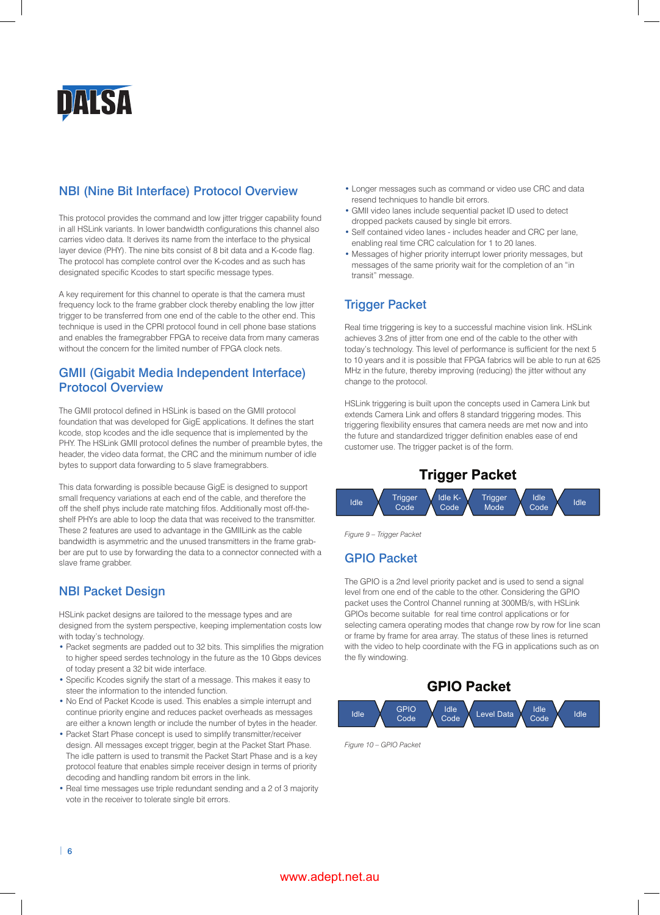

# NBI (Nine Bit Interface) Protocol Overview

This protocol provides the command and low jitter trigger capability found in all HSLink variants. In lower bandwidth configurations this channel also carries video data. It derives its name from the interface to the physical layer device (PHY). The nine bits consist of 8 bit data and a K-code flag. The protocol has complete control over the K-codes and as such has designated specific Kcodes to start specific message types.

A key requirement for this channel to operate is that the camera must frequency lock to the frame grabber clock thereby enabling the low jitter trigger to be transferred from one end of the cable to the other end. This technique is used in the CPRI protocol found in cell phone base stations and enables the framegrabber FPGA to receive data from many cameras without the concern for the limited number of FPGA clock nets.

# GMII (Gigabit Media Independent Interface) Protocol Overview

The GMII protocol defined in HSLink is based on the GMII protocol foundation that was developed for GigE applications. It defines the start kcode, stop kcodes and the idle sequence that is implemented by the phy. The HSLink GMII protocol defines the number of preamble bytes, the header, the video data format, the CRC and the minimum number of idle bytes to support data forwarding to 5 slave framegrabbers.

This data forwarding is possible because GigE is designed to support small frequency variations at each end of the cable, and therefore the off the shelf phys include rate matching fifos. Additionally most off-theshelf phys are able to loop the data that was received to the transmitter. These 2 features are used to advantage in the GMIILink as the cable bandwidth is asymmetric and the unused transmitters in the frame grabber are put to use by forwarding the data to a connector connected with a slave frame grabber.

## NBI Packet Design

HSLink packet designs are tailored to the message types and are designed from the system perspective, keeping implementation costs low with today's technology.

- Packet segments are padded out to 32 bits. This simplifies the migration to higher speed serdes technology in the future as the 10 Gbps devices of today present a 32 bit wide interface.
- Specific Kcodes signify the start of a message. This makes it easy to steer the information to the intended function.
- No End of Packet Kcode is used. This enables a simple interrupt and continue priority engine and reduces packet overheads as messages are either a known length or include the number of bytes in the header.
- Packet Start Phase concept is used to simplify transmitter/receiver design. All messages except trigger, begin at the Packet Start Phase. The idle pattern is used to transmit the Packet Start Phase and is a key protocol feature that enables simple receiver design in terms of priority decoding and handling random bit errors in the link.
- Real time messages use triple redundant sending and a 2 of 3 majority vote in the receiver to tolerate single bit errors.
- Longer messages such as command or video use CRC and data resend techniques to handle bit errors.
- GMII video lanes include sequential packet ID used to detect dropped packets caused by single bit errors.
- Self contained video lanes includes header and CRC per lane, enabling real time CRC calculation for 1 to 20 lanes.
- Messages of higher priority interrupt lower priority messages, but messages of the same priority wait for the completion of an "in transit" message.

# Trigger Packet

Real time triggering is key to a successful machine vision link. HSLink achieves 3.2ns of jitter from one end of the cable to the other with today's technology. This level of performance is sufficient for the next 5 to 10 years and it is possible that FPGA fabrics will be able to run at 625 MHz in the future, thereby improving (reducing) the jitter without any change to the protocol.

HSLink triggering is built upon the concepts used in Camera Link but extends Camera Link and offers 8 standard triggering modes. This triggering flexibility ensures that camera needs are met now and into the future and standardized trigger definition enables ease of end customer use. The trigger packet is of the form.





*Figure 9 – Trigger Packet*

# GPIO Packet

The GPIO is a 2nd level priority packet and is used to send a signal level from one end of the cable to the other. Considering the GPIO packet uses the Control Channel running at 300MB/s, with HSLink GPIOs become suitable for real time control applications or for selecting camera operating modes that change row by row for line scan or frame by frame for area array. The status of these lines is returned with the video to help coordinate with the FG in applications such as on the fly windowing.



*Figure 10 – GPIO Packet*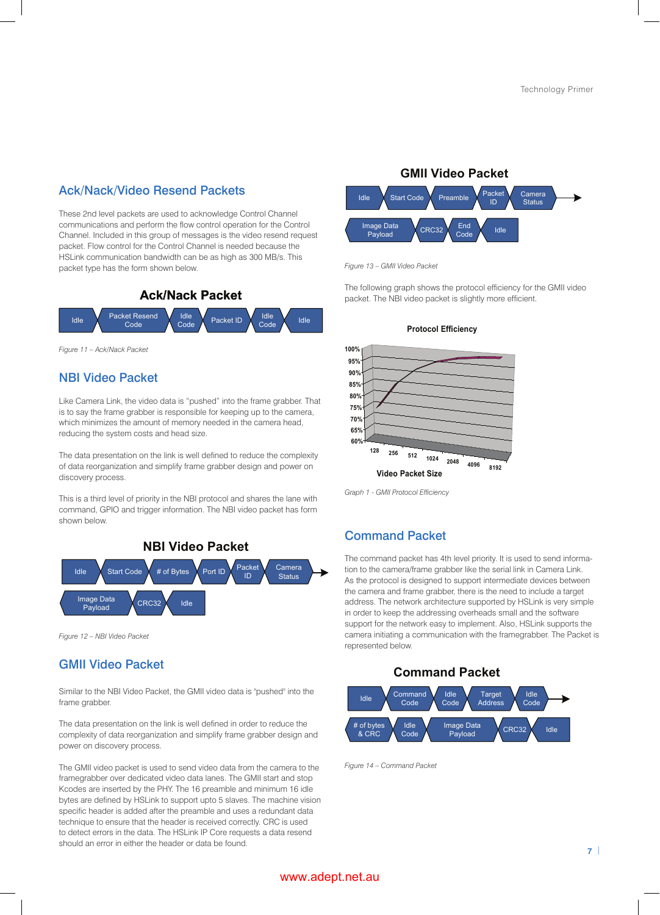## Ack/Nack/Video Resend Packets

These 2nd level packets are used to acknowledge Control Channel communications and perform the flow control operation for the Control Channel. Included in this group of messages is the video resend request packet. Flow control for the Control Channel is needed because the HSLink communication bandwidth can be as high as 300 MB/s. This packet type has the form shown below.



*Figure 11 – Ack/Nack Packet*

#### NBI Video Packet

Like Camera Link, the video data is "pushed" into the frame grabber. That is to say the frame grabber is responsible for keeping up to the camera, which minimizes the amount of memory needed in the camera head, reducing the system costs and head size.

The data presentation on the link is well defined to reduce the complexity of data reorganization and simplify frame grabber design and power on discovery process.

This is a third level of priority in the NBI protocol and shares the lane with command, GPIO and trigger information. The NBI video packet has form shown below.



*Figure 12 – NBI Video Packet*

#### GMII Video Packet

Similar to the NBI Video Packet, the GMII video data is "pushed" into the frame grabber.

The data presentation on the link is well defined in order to reduce the complexity of data reorganization and simplify frame grabber design and power on discovery process.

The GMII video packet is used to send video data from the camera to the framegrabber over dedicated video data lanes. The GMII start and stop Kcodes are inserted by the phy. The 16 preamble and minimum 16 idle bytes are defined by HSLink to support upto 5 slaves. The machine vision specific header is added after the preamble and uses a redundant data technique to ensure that the header is received correctly. CRC is used to detect errors in the data. The HSLink IP Core requests a data resend should an error in either the header or data be found.



*Figure 13 – GMII Video Packet*

The following graph shows the protocol efficiency for the GMII video packet. The NBI video packet is slightly more efficient.



*Graph 1 - GMII Protocol Efficiency*

#### Command Packet

The command packet has 4th level priority. It is used to send information to the camera/frame grabber like the serial link in Camera Link. As the protocol is designed to support intermediate devices between the camera and frame grabber, there is the need to include a target address. The network architecture supported by HSLink is very simple in order to keep the addressing overheads small and the software support for the network easy to implement. Also, HSLink supports the camera initiating a communication with the framegrabber. The Packet is represented below.

**Command Packet**



*Figure 14 – Command Packet*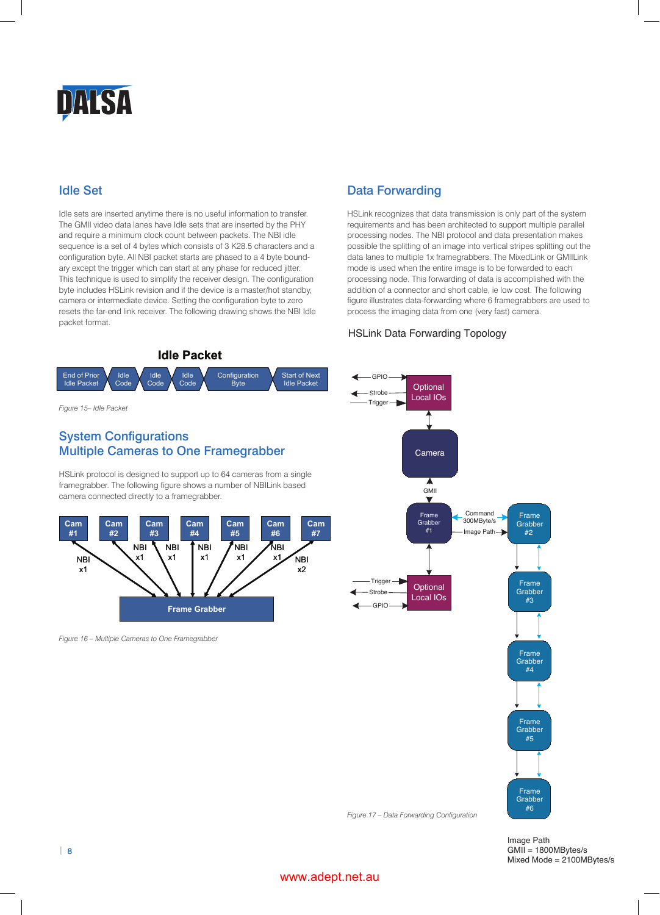

# Idle Set

Idle sets are inserted anytime there is no useful information to transfer. The GMII video data lanes have Idle sets that are inserted by the PHY and require a minimum clock count between packets. The NBI idle sequence is a set of 4 bytes which consists of 3 K28.5 characters and a configuration byte. All NBI packet starts are phased to a 4 byte boundary except the trigger which can start at any phase for reduced jitter. This technique is used to simplify the receiver design. The configuration byte includes HSLink revision and if the device is a master/hot standby, camera or intermediate device. Setting the configuration byte to zero resets the far-end link receiver. The following drawing shows the NBI Idle packet format.

# Data Forwarding

HSLink recognizes that data transmission is only part of the system requirements and has been architected to support multiple parallel processing nodes. The NBI protocol and data presentation makes possible the splitting of an image into vertical stripes splitting out the data lanes to multiple 1x framegrabbers. The MixedLink or GMIILink mode is used when the entire image is to be forwarded to each processing node. This forwarding of data is accomplished with the addition of a connector and short cable, ie low cost. The following figure illustrates data-forwarding where 6 framegrabbers are used to process the imaging data from one (very fast) camera.

#### HSLink Data Forwarding Topology



Image Path  $GMII = 1800MBytes/s$ Mixed Mode = 2100MBytes/s

# *Figure 17 – Data Forwarding Configuration*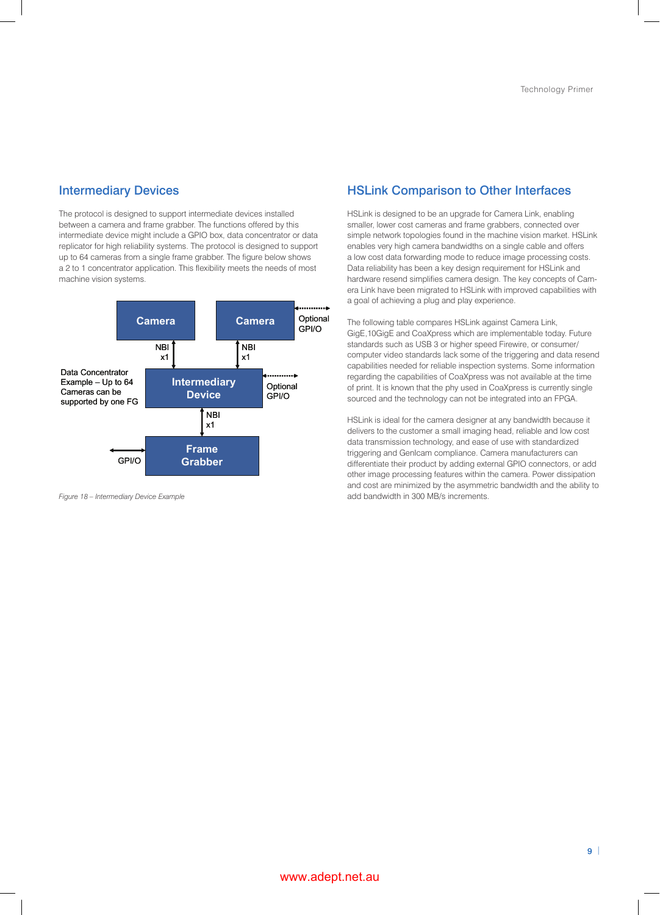#### Intermediary Devices

The protocol is designed to support intermediate devices installed between a camera and frame grabber. The functions offered by this intermediate device might include a GPIO box, data concentrator or data replicator for high reliability systems. The protocol is designed to support up to 64 cameras from a single frame grabber. The figure below shows a 2 to 1 concentrator application. This flexibility meets the needs of most machine vision systems.



*Figure 18 – Intermediary Device Example*

## HSLink Comparison to Other Interfaces

HSLink is designed to be an upgrade for Camera Link, enabling smaller, lower cost cameras and frame grabbers, connected over simple network topologies found in the machine vision market. HSLink enables very high camera bandwidths on a single cable and offers a low cost data forwarding mode to reduce image processing costs. Data reliability has been a key design requirement for HSLink and hardware resend simplifies camera design. The key concepts of Camera Link have been migrated to HSLink with improved capabilities with a goal of achieving a plug and play experience.

The following table compares HSLink against Camera Link, GigE,10GigE and CoaXpress which are implementable today. Future standards such as USB 3 or higher speed Firewire, or consumer/ computer video standards lack some of the triggering and data resend capabilities needed for reliable inspection systems. Some information regarding the capabilities of CoaXpress was not available at the time of print. It is known that the phy used in CoaXpress is currently single sourced and the technology can not be integrated into an FPGA.

HSLink is ideal for the camera designer at any bandwidth because it delivers to the customer a small imaging head, reliable and low cost data transmission technology, and ease of use with standardized triggering and GenIcam compliance. Camera manufacturers can differentiate their product by adding external GPIO connectors, or add other image processing features within the camera. Power dissipation and cost are minimized by the asymmetric bandwidth and the ability to add bandwidth in 300 MB/s increments.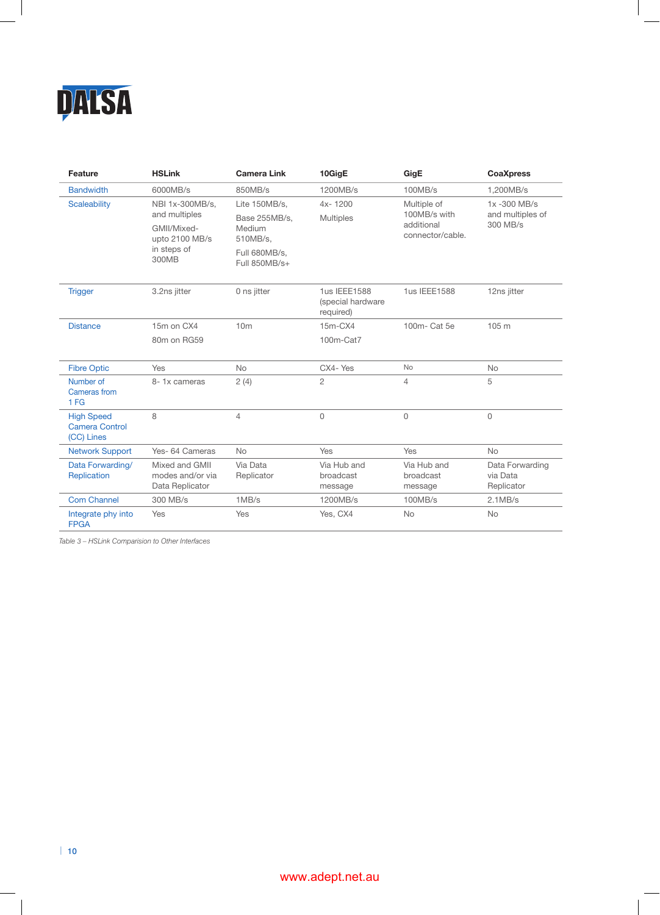

| Feature                                                  | <b>HSLink</b>                                                                             | <b>Camera Link</b>                                   | 10GigE                                         | GigE                                                          | <b>CoaXpress</b>                            |
|----------------------------------------------------------|-------------------------------------------------------------------------------------------|------------------------------------------------------|------------------------------------------------|---------------------------------------------------------------|---------------------------------------------|
| <b>Bandwidth</b>                                         | 6000MB/s                                                                                  | 850MB/s                                              | 1200MB/s                                       | 100MB/s                                                       | 1.200MB/s                                   |
| <b>Scaleability</b>                                      | NBI 1x-300MB/s,<br>and multiples<br>GMII/Mixed-<br>upto 2100 MB/s<br>in steps of<br>300MB | Lite 150MB/s.<br>Base 255MB/s,<br>Medium<br>510MB/s. | $4x - 1200$<br><b>Multiples</b>                | Multiple of<br>100MB/s with<br>additional<br>connector/cable. | 1x-300 MB/s<br>and multiples of<br>300 MB/s |
|                                                          |                                                                                           | Full 680MB/s,<br>Full 850MB/s+                       |                                                |                                                               |                                             |
| <b>Trigger</b>                                           | 3.2ns jitter                                                                              | 0 ns jitter                                          | 1us IEEE1588<br>(special hardware<br>required) | 1us IEEE1588                                                  | 12ns jitter                                 |
| <b>Distance</b>                                          | 15m on CX4                                                                                | 10 <sub>m</sub>                                      | $15m-CX4$                                      | 100m- Cat 5e                                                  | 105 m                                       |
|                                                          | 80m on RG59                                                                               |                                                      | 100m-Cat7                                      |                                                               |                                             |
| <b>Fibre Optic</b>                                       | <b>Yes</b>                                                                                | <b>No</b>                                            | CX4-Yes                                        | <b>No</b>                                                     | <b>No</b>                                   |
| Number of<br>Cameras from<br>1FG                         | 8-1x cameras                                                                              | 2(4)                                                 | $\overline{c}$                                 | $\overline{4}$                                                | 5                                           |
| <b>High Speed</b><br><b>Camera Control</b><br>(CC) Lines | 8                                                                                         | $\overline{4}$                                       | 0                                              | $\Omega$                                                      | $\Omega$                                    |
| <b>Network Support</b>                                   | Yes- 64 Cameras                                                                           | <b>No</b>                                            | Yes                                            | Yes                                                           | <b>No</b>                                   |
| Data Forwarding/<br>Replication                          | Mixed and GMII<br>modes and/or via<br>Data Replicator                                     | Via Data<br>Replicator                               | Via Hub and<br>broadcast<br>message            | Via Hub and<br>broadcast<br>message                           | Data Forwarding<br>via Data<br>Replicator   |
| <b>Com Channel</b>                                       | 300 MB/s                                                                                  | 1MB/s                                                | 1200MB/s                                       | 100MB/s                                                       | 2.1MB/s                                     |
| Integrate phy into<br><b>FPGA</b>                        | Yes                                                                                       | Yes                                                  | Yes, CX4                                       | <b>No</b>                                                     | <b>No</b>                                   |

*Table 3 – HSLink Comparision to Other Interfaces*

 $\overline{\phantom{a}}$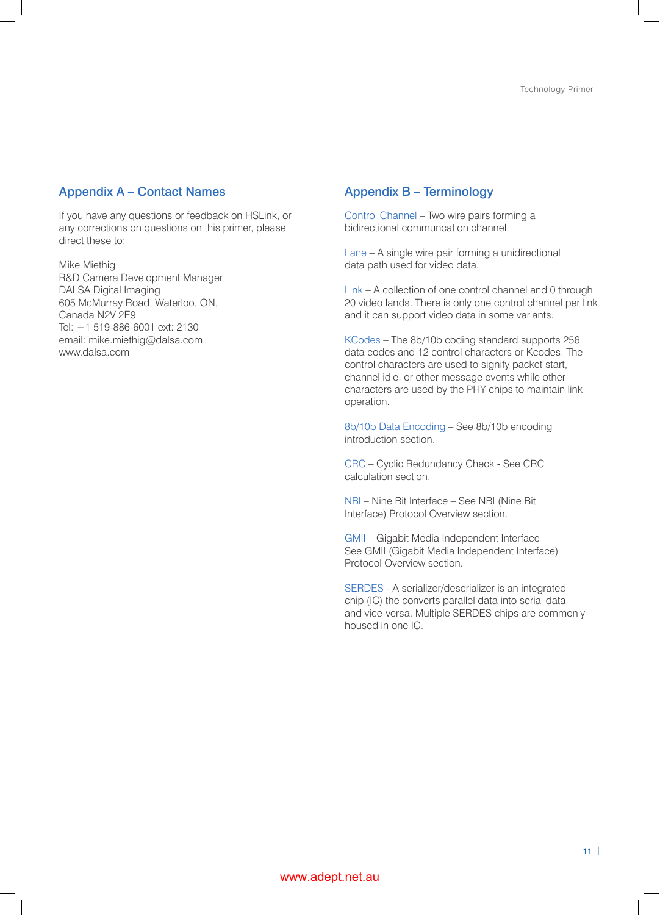## Appendix A – Contact Names

If you have any questions or feedback on HSLink, or any corrections on questions on this primer, please direct these to:

Mike Miethig R&D Camera Development Manager DALSA Digital Imaging 605 McMurray Road, Waterloo, ON, Canada N2V 2E9 Tel: +1 519-886-6001 ext: 2130 email: mike.miethig@dalsa.com www.dalsa.com

# Appendix B – Terminology

Control Channel – Two wire pairs forming a bidirectional communcation channel.

Lane – A single wire pair forming a unidirectional data path used for video data.

Link – A collection of one control channel and 0 through 20 video lands. There is only one control channel per link and it can support video data in some variants.

KCodes – The 8b/10b coding standard supports 256 data codes and 12 control characters or Kcodes. The control characters are used to signify packet start, channel idle, or other message events while other characters are used by the PHY chips to maintain link operation.

8b/10b Data Encoding – See 8b/10b encoding introduction section.

CRC – Cyclic Redundancy Check - See CRC calculation section.

NBI – Nine Bit Interface – See NBI (Nine Bit Interface) Protocol Overview section.

GMII – Gigabit Media Independent Interface – See GMII (Gigabit Media Independent Interface) Protocol Overview section.

SERDES - A serializer/deserializer is an integrated chip (IC) the converts parallel data into serial data and vice-versa. Multiple SERDES chips are commonly housed in one IC.